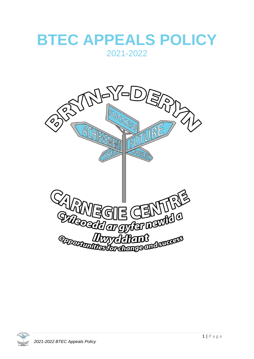## **BTEC APPEALS POLICY** 2021-2022